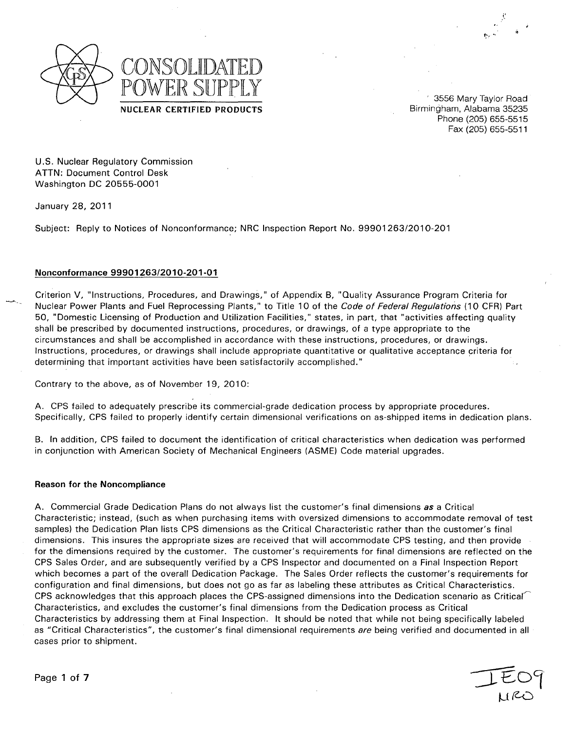

Phone **(205) 655-5515** Fax **(205) 655-5511**

**U.S.** Nuclear Regulatory Commission **ATTN:** Document Control Desk Washington **DC 20555-0001**

January **28,** 2011

Subject: Reply to Notices of Nonconformance; NRC Inspection Report No. **99901263/2010-201**

# Nonconformance **99901263/2010-201-01**

Criterion V, "Instructions, Procedures, and Drawings," of Appendix B, "Quality Assurance Program Criteria for Nuclear Power Plants and Fuel Reprocessing Plants," to Title **10** of the *Code of Federal Regulations (10* CFR) Part **50,** "Domestic Licensing of Production and Utilization Facilities," states, in part, that "activities affecting quality shall be prescribed **by** documented instructions, procedures, or drawings, of a type appropriate to the circumstances and shall be accomplished in accordance with these instructions, procedures, or drawings. Instructions, procedures, or drawings shall include appropriate quantitative or qualitative acceptance criteria for determining that important activities have been satisfactorily accomplished."

Contrary to the above, as of November **19, 2010:**

**A. CPS** failed to adequately prescribe its commercial-grade dedication process **by** appropriate procedures. Specifically, **CPS** failed to properly identify certain dimensional verifications on as-shipped items in dedication plans.

B. In addition, **CPS** failed to document the identification of critical characteristics when dedication was performed in conjunction with American Society of Mechanical Engineers **(ASME)** Code material upgrades.

## Reason for the Noncompliance

**A.** Commercial Grade Dedication Plans do not always list the customer's final dimensions as a Critical Characteristic; instead, (such as when purchasing items with oversized dimensions to accommodate removal of test samples) the Dedication Plan lists **CPS** dimensions as the Critical Characteristic rather than the customer's final dimensions. This insures the appropriate sizes are received that will accommodate **CPS** testing, and then provide for the dimensions required **by** the customer. The customer's requirements for final dimensions are reflected on the **CPS** Sales Order, and are subsequently verified **by** a **CPS** Inspector and documented on a Final Inspection Report which becomes a part of the overall Dedication Package. The Sales Order reflects the customer's requirements for configuration and final dimensions, but does not go as far as labeling these attributes as Critical Characteristics. **CPS** acknowledges that this approach places the CPS-assigned dimensions into the Dedication scenario as Critical-' Characteristics, and excludes the customer's final dimensions from the Dedication process as Critical Characteristics **by** addressing them at Final Inspection. It should be noted that while not being specifically labeled as "Critical Characteristics", the customer's final dimensional requirements *are* being verified and documented in all cases prior to shipment.

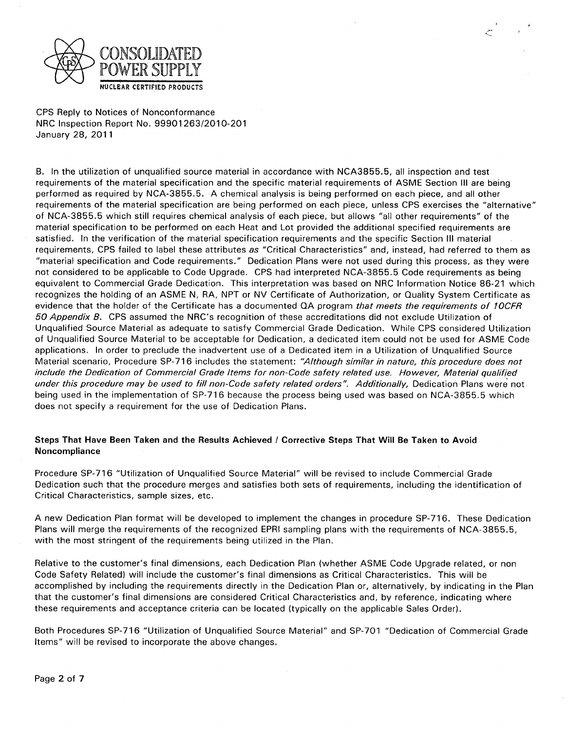

B. In the utilization of unqualified source material in accordance with NCA3855.5, all inspection and test requirements of the material specification and the specific material requirements of ASME Section III are being performed as required by NCA-3855.5. A chemical analysis is being performed on each piece, and all other requirements of the material specification are being performed on each piece, unless CPS exercises the "alternative" of NCA-3855.5 which still requires chemical analysis of each piece, but allows "all other requirements" of the material specification to be performed on each Heat and Lot provided the additional specified requirements are satisfied. In the verification of the material specification requirements and the specific Section III material requirements, CPS failed to label these attributes as "Critical Characteristics" and, instead, had referred to them as "material specification and Code requirements." Dedication Plans were not used during this process, as they were not considered to be applicable to Code Upgrade. CPS had interpreted NCA-3855.5 Code requirements as being equivalent to Commercial Grade Dedication. This interpretation was based on NRC Information Notice 86-21 which recognizes the holding of an ASME N, RA, NPT or NV Certificate of Authorization, or Quality System Certificate as evidence that the holder of the Certificate has a documented QA program *that meets the requirements of 10CFR 50 Appendix B.* CPS assumed the NRC's recognition of these accreditations did not exclude Utilization of Unqualified Source Material as adequate to satisfy Commercial Grade Dedication. While CPS considered Utilization of Unqualified Source Material to be acceptable for Dedication, a dedicated item could not be used for ASME Code applications. In order to preclude the inadvertent use of a Dedicated item in a Utilization of Unqualified Source Material scenario, Procedure SP-716 includes the statement: *"Although similar in nature, this procedure does not include the Dedication of Commercial Grade Items for non-Code safety related use. However, Material qualified under this procedure may be used to fill non-Code safety related orders". Additionally,* Dedication Plans were not being used in the implementation of SP-716 because the process being used was based on NCA-3855.5 which does not specify a requirement for the use of Dedication Plans.

# Steps That Have Been Taken and the Results Achieved **/** Corrective Steps That Will Be Taken to Avoid Noncompliance

Procedure SP-716 "Utilization of Unqualified Source Material" will be revised to include Commercial Grade Dedication such that the procedure merges and satisfies both sets of requirements, including the identification of Critical Characteristics, sample sizes, etc.

A new Dedication Plan format will be developed to implement the changes in procedure SP-716. These Dedication Plans will merge the requirements of the recognized EPRI sampling plans with the requirements of NCA-3855.5, with the most stringent of the requirements being utilized in the Plan.

Relative to the customer's final dimensions, each Dedication Plan (whether ASME Code Upgrade related, or non Code Safety Related) will include the customer's final dimensions as Critical Characteristics. This will be accomplished by including the requirements directly in the Dedication Plan or, alternatively, by indicating in the Plan that the customer's final dimensions are considered Critical Characteristics and, by reference, indicating where these requirements and acceptance criteria can be located (typically on the applicable Sales Order).

Both Procedures SP-716 "Utilization of Unqualified Source Material" and SP-701 "Dedication of Commercial Grade Items" will be revised to incorporate the above changes.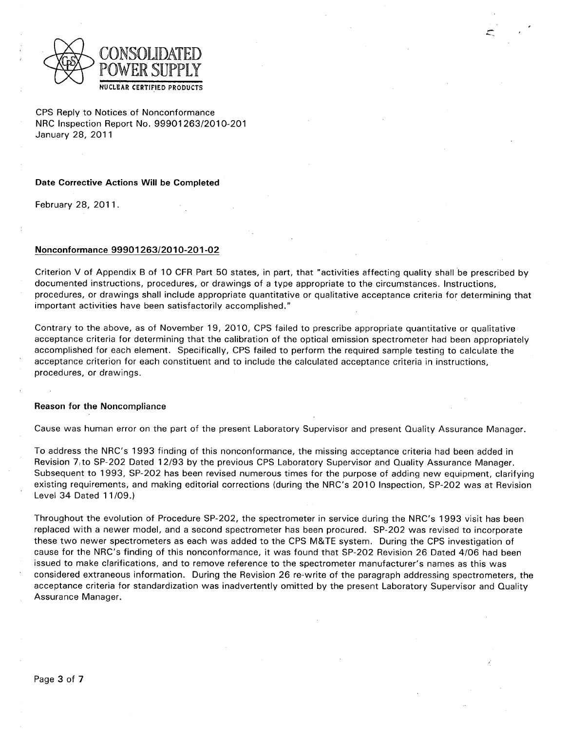

## Date Corrective Actions Will be Completed

February **28, 2011.**

## Nonconformance **99901263/2010-201-02**

Criterion V of Appendix B of **10** CFR Part **50** states, in part, that "activities affecting quality shall be prescribed **by** documented instructions, procedures, or drawings of a type appropriate to the circumstances. Instructions, procedures, or drawings shall include appropriate quantitative or qualitative acceptance criteria for determining that important activities have been satisfactorily accomplished."

Contrary to the above, as of November **19, 2010, CPS** failed to prescribe appropriate quantitative or qualitative acceptance criteria for determining that the calibration of the optical emission spectrometer had been appropriately accomplished for each element. Specifically, **CPS** failed to perform the required sample testing to calculate the acceptance criterion for each constituent and to include the calculated acceptance criteria in instructions, procedures, or drawings.

## Reason for the Noncompliance

Cause was human error on the part of the present Laboratory Supervisor and present Quality Assurance Manager.

To address the NRC's **1993** finding of this nonconformance, the missing acceptance criteria had been added in Revision 7,to **SP-202** Dated **12/93 by** the previous **CPS** Laboratory Supervisor and Quality Assurance Manager. Subsequent to **1993, SP-202** has been revised numerous times for the purpose of adding new equipment, clarifying existing requirements, and making editorial corrections (during the NRC's 2010 Inspection, **SP-202** was at Revision Level 34 Dated **11 /09.)**

Throughout the evolution of Procedure **SP-202,** the spectrometer in service during the NRC's **1993** visit has been replaced with a newer model, and a second spectrometer has been procured. **SP-202** was revised to incorporate these two newer spectrometers as each was added to the **CPS** M&TE system. During the **CPS** investigation of cause for the NRC's finding of this nonconformance, it was found that **SP-202** Revision **26** Dated 4/06 had been issued to make clarifications, and to remove reference to the spectrometer manufacturer's names as this was considered extraneous information. During the Revision **26** re-write of the paragraph addressing spectrometers, the acceptance criteria for standardization was inadvertently omitted **by** the present Laboratory Supervisor and Quality Assurance Manager.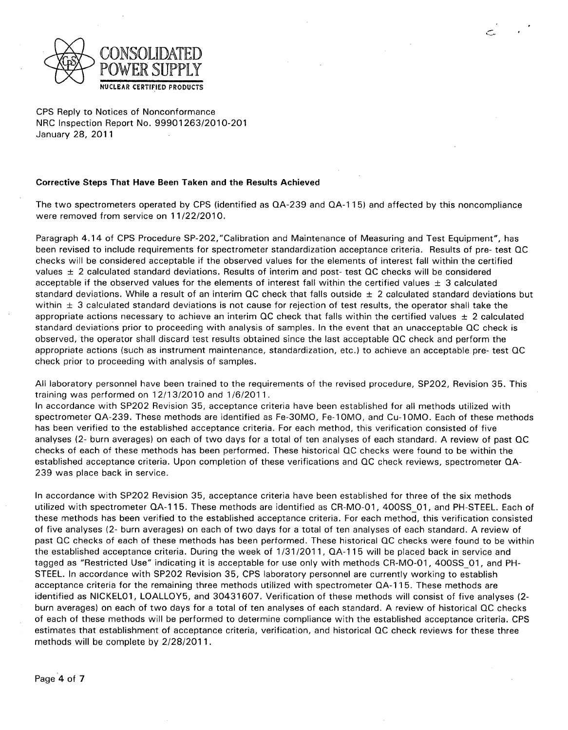

# Corrective Steps That Have Been Taken and the Results Achieved

The two spectrometers operated by CPS (identified as QA-239 and QA-1 **15)** and affected by this noncompliance were removed from service on 11/22/2010.

Paragraph 4.14 of CPS Procedure SP-202,"Calibration and Maintenance of Measuring and Test Equipment", has been revised to include requirements for spectrometer standardization acceptance criteria. Results of pre- test QC checks will be considered acceptable if the observed values for the elements of interest fall within the certified values **±** 2 calculated standard deviations. Results of interim and post- test QC checks will be considered acceptable if the observed values for the elements of interest fall within the certified values **±** 3 calculated standard deviations. While a result of an interim QC check that falls outside **±** 2 calculated standard deviations but within **±** 3 calculated standard deviations is not cause for rejection of test results, the operator shall take the appropriate actions necessary to achieve an interim QC check that falls within the certified values **±** 2 calculated standard deviations prior to proceeding with analysis of samples. In the event that an unacceptable QC check is observed, the operator shall discard test results obtained since the last acceptable QC check and perform the appropriate actions (such as instrument maintenance, standardization, etc.) to achieve an acceptable pre- test QC check prior to proceeding with analysis of samples.

All laboratory personnel have been trained to the requirements of the revised procedure, SP202, Revision 35. This training was performed on 12/13/2010 and 1/6/2011.

In accordance with SP202 Revision 35, acceptance criteria have been established for all methods utilized with spectrometer QA-239. These methods are identified as Fe-30MO, Fe-IOMO, and Cu-1OMO. Each of these methods has been verified to the established acceptance criteria. For each method, this verification consisted of five analyses (2- burn averages) on each of two days for a total of ten analyses of each standard. A review of past QC checks of each of these methods has been performed. These historical QC checks were found to be within the established acceptance criteria. Upon completion of these verifications and QC check reviews, spectrometer QA-239 was place back in service.

In accordance with SP202 Revision 35, acceptance criteria have been established for three of the six methods utilized with spectrometer QA-1 **15.** These methods are identified as CR-MO-01, **400SS** 01, and PH-STEEL. Each of these methods has been verified to the established acceptance criteria. For each method, this verification consisted of five analyses (2- burn averages) on each of two days for a total of ten analyses of each standard. A review of past QC checks of each of these methods has been performed. These historical QC checks were found to be within the established acceptance criteria. During the week of 1/31/2011, **QA-115** will be placed back in service and tagged as "Restricted Use" indicating it is acceptable for use only with methods CR-MO-01, 400SS 01, and PH-STEEL. In accordance with SP202 Revision 35, CPS laboratory personnel are currently working to establish acceptance criteria for the remaining three methods utilized with spectrometer QA-1 **15.** These methods are identified as NICKEL01, LOALLOY5, and 30431607. Verification of these methods will consist of five analyses (2 burn averages) on each of two days for a total of ten analyses of each standard. A review of historical QC checks of each of these methods will be performed to determine compliance with the established acceptance criteria. CPS estimates that establishment of acceptance criteria, verification, and historical QC check reviews for these three methods will be complete by 2/28/2011.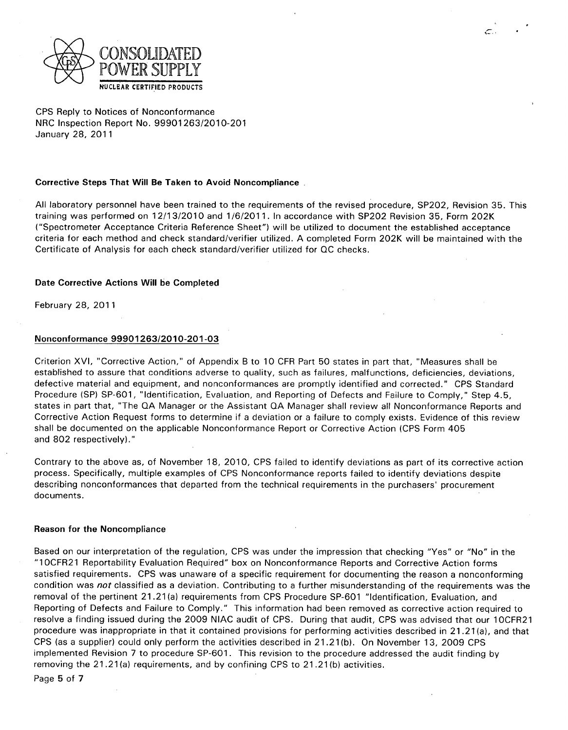

#### Corrective Steps That Will Be Taken to Avoid Noncompliance

All laboratory personnel have been trained to the requirements of the revised procedure, SP202, Revision 35. This training was performed on 12/13/2010 and 1/6/2011. In accordance with SP202 Revision 35, Form 202K ("Spectrometer Acceptance Criteria Reference Sheet") will be utilized to document the established acceptance criteria for each method and check standard/verifier utilized. A completed Form 202K will be maintained with the Certificate of Analysis for each check standard/verifier utilized for QC checks.

ن بيسم

## Date Corrective Actions Will be Completed

February 28, 2011

# Nonconformance 99901263/2010-201-03

Criterion XVI, "Corrective Action," of Appendix B to 10 CFR Part 50 states in part that, "Measures shall be established to assure that conditions adverse to quality, such as failures, malfunctions, deficiencies, deviations, defective material and equipment, and nonconformances are promptly identified and corrected." CPS Standard Procedure (SP) SP-601, "Identification, Evaluation, and Reporting of Defects and Failure to Comply," Step 4.5, states in part that, "The QA Manager or the Assistant QA Manager shall review all Nonconformance Reports and Corrective Action Request forms to determine if a deviation or a failure to comply exists. Evidence of this review shall be documented on the applicable Nonconformance Report or Corrective Action (CPS Form 405 and 802 respectively)."

Contrary to the above as, of November 18, 2010, CPS failed to identify deviations as part of its corrective action process. Specifically, multiple examples of CPS Nonconformance reports failed to identify deviations despite describing nonconformances that departed from the technical requirements in the purchasers' procurement documents.

#### Reason for the Noncompliance

Based on our interpretation of the regulation, CPS was under the impression that checking "Yes" or "No" in the "10CFR21 Reportability Evaluation Required" box on Nonconformance Reports and Corrective Action forms satisfied requirements. CPS was unaware of a specific requirement for documenting the reason a nonconforming condition was *not* classified as a deviation. Contributing to a further misunderstanding of the requirements was the removal of the pertinent 21.21 (a) requirements from CPS Procedure SP-601 "Identification, Evaluation, and Reporting of Defects and Failure to Comply." This information had been removed as corrective action required to resolve a finding issued during the 2009 NIAC audit of CPS. During that audit, CPS was advised that our 1OCFR21 procedure was inappropriate in that it contained provisions for performing activities described in 21.21 (a), and that CPS (as a supplier) could only perform the activities described in 21.21(b). On November 13, 2009 CPS implemented Revision 7 to procedure SP-601. This revision to the procedure addressed the audit finding by removing the 21.21 (a) requirements, and by confining CPS to 21.21(b) activities.

Page 5 of 7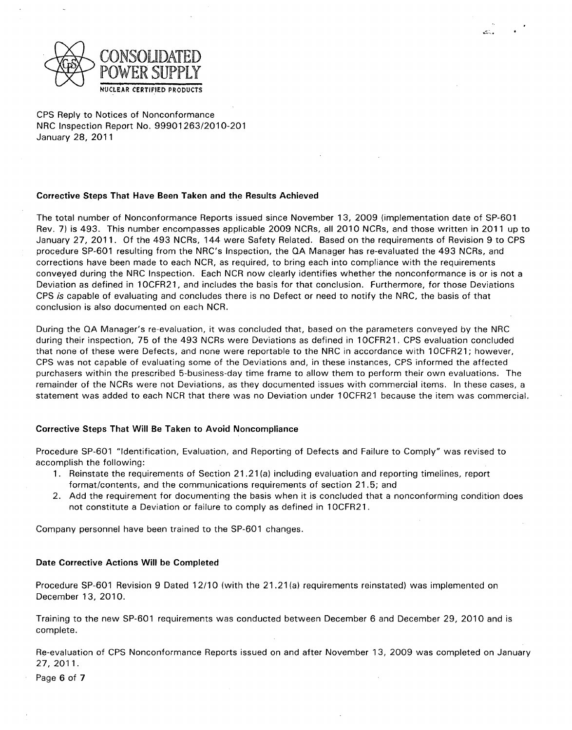

## Corrective Steps That Have Been Taken and the Results Achieved

The total number of Nonconformance Reports issued since November 13, 2009 (implementation date of SP-601 Rev. 7) is 493. This number encompasses applicable 2009 NCRs, all 2010 NCRs, and those written in 2011 up to January 27, 2011. Of the 493 NCRs, 144 were Safety Related. Based on the requirements of Revision 9 to CPS procedure SP-601 resulting from the NRC's Inspection, the QA Manager has re-evaluated the 493 NCRs, and corrections have been made to each NCR, as required, to bring each into compliance with the requirements conveyed during the NRC Inspection. Each NCR now clearly identifies whether the nonconformance is or is not a<br>Deviation as defined in 10CFR21, and includes the basis for that conclusion. Furthermore, for those Deviations CPS is capable of evaluating and concludes there is no Defect or need to notify the NRC, the basis of that conclusion is also documented on each NCR.

During the QA Manager's re-evaluation, it was concluded that, based on the parameters conveyed by the NRC during their inspection, 75 of the 493 NCRs were Deviations as defined in 10CFR21. CPS evaluation concluded that none of these were Defects, and none were reportable to the NRC in accordance with 1OCFR21; however, CPS was not capable of evaluating some of the Deviations and, in these instances, CPS informed the affected purchasers within the prescribed 5-business-day time frame to allow them to perform their own evaluations. The remainder of the NCRs were not Deviations, as they documented issues with commercial items. In these cases, a statement was added to each NCR that there was no Deviation under 10CFR21 because the item was commercial.

# Corrective Steps That Will Be Taken to Avoid Noncompliance

Procedure SP-601 "Identification, Evaluation, and Reporting of Defects and Failure to Comply" was revised to accomplish the following:

- 1. Reinstate the requirements of Section 21.21 (a) including evaluation and reporting timelines, report format/contents, and the communications requirements of section 21.5; and
- 2. Add the requirement for documenting the basis when it is concluded that a nonconforming condition does not constitute a Deviation or failure to comply as defined in 10CFR21.

Company personnel have been trained to the SP-601 changes.

# Date Corrective Actions Will be Completed

Procedure SP-601 Revision 9 Dated 12/10 (with the 21.21 (a) requirements reinstated) was implemented on December 13, 2010.

Training to the new SP-601 requirements was conducted between December 6 and December 29, 2010 and is complete.

Re-evaluation of CPS Nonconformance Reports issued on and after November 13, 2009 was completed on January 27, 2011.

Page 6 of 7